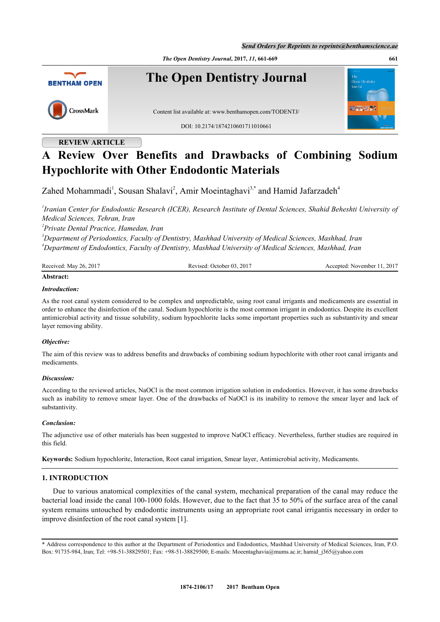*The Open Dentistry Journal***, 2017,** *11***, 661-669 661**



## **REVIEW ARTICLE**

# **A Review Over Benefits and Drawbacks of Combining Sodium Hypochlorite with Other Endodontic Materials**

Zahed Mohammadi<sup>[1](#page-0-0)</sup>, Sousan Shalavi<sup>[2](#page-0-1)</sup>, Amir Moeintaghavi<sup>[3,](#page-0-2)[\\*](#page-0-3)</sup> and Hamid Jafarzadeh<sup>[4](#page-0-4)</sup>

<span id="page-0-0"></span>*1 Iranian Center for Endodontic Research (ICER), Research Institute of Dental Sciences, Shahid Beheshti University of Medical Sciences, Tehran, Iran*

<span id="page-0-1"></span>*2 Private Dental Practice, Hamedan, Iran*

<span id="page-0-4"></span><span id="page-0-2"></span>*<sup>3</sup>Department of Periodontics, Faculty of Dentistry, Mashhad University of Medical Sciences, Mashhad, Iran <sup>4</sup>Department of Endodontics, Faculty of Dentistry, Mashhad University of Medical Sciences, Mashhad, Iran*

| Received: May 26, 2017 | Revised: October 03, 2017 | Accepted: November 11, 2017 |
|------------------------|---------------------------|-----------------------------|
| Abstract:              |                           |                             |

#### *Introduction:*

As the root canal system considered to be complex and unpredictable, using root canal irrigants and medicaments are essential in order to enhance the disinfection of the canal. Sodium hypochlorite is the most common irrigant in endodontics. Despite its excellent antimicrobial activity and tissue solubility, sodium hypochlorite lacks some important properties such as substantivity and smear layer removing ability.

#### *Objective:*

The aim of this review was to address benefits and drawbacks of combining sodium hypochlorite with other root canal irrigants and medicaments.

#### *Discussion:*

According to the reviewed articles, NaOCl is the most common irrigation solution in endodontics. However, it has some drawbacks such as inability to remove smear layer. One of the drawbacks of NaOCl is its inability to remove the smear layer and lack of substantivity.

#### *Conclusion:*

The adjunctive use of other materials has been suggested to improve NaOCl efficacy. Nevertheless, further studies are required in this field.

**Keywords:** Sodium hypochlorite, Interaction, Root canal irrigation, Smear layer, Antimicrobial activity, Medicaments.

#### **1. INTRODUCTION**

Due to various anatomical complexities of the canal system, mechanical preparation of the canal may reduce the bacterial load inside the canal 100-1000 folds. However, due to the fact that 35 to 50% of the surface area of the canal system remains untouched by endodontic instruments using an appropriate root canal irrigantis necessary in order to improve disinfection of the root canal system [[1\]](#page-4-0).

<span id="page-0-3"></span>\* Address correspondence to this author at the Department of Periodontics and Endodontics, Mashhad University of Medical Sciences, Iran, P.O. Box: 91735-984, Iran; Tel: +98-51-38829501; Fax: +98-51-38829500; E-mails: [Moeentaghavia@mums.ac.ir;](mailto:Moeentaghavia@mums.ac.ir) [hamid\\_j365@yahoo.com](mailto:hamid_j365@yahoo.com)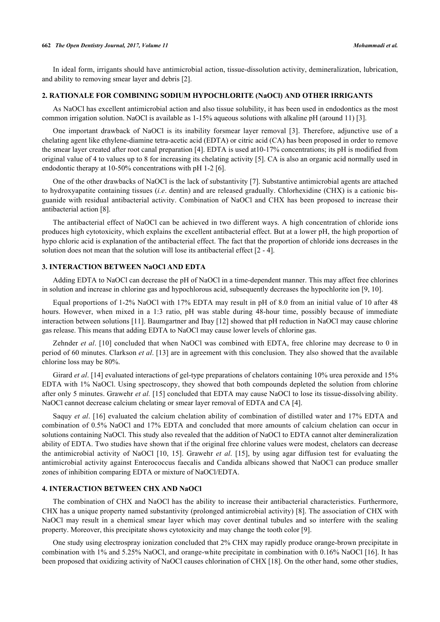#### **662** *The Open Dentistry Journal, 2017, Volume 11 Mohammadi et al.*

In ideal form, irrigants should have antimicrobial action, tissue-dissolution activity, demineralization, lubrication, and ability to removing smear layer and debris [[2\]](#page-5-0).

#### **2. RATIONALE FOR COMBINING SODIUM HYPOCHLORITE (NaOCl) AND OTHER IRRIGANTS**

As NaOCl has excellent antimicrobial action and also tissue solubility, it has been used in endodontics as the most common irrigation solution. NaOCl is available as 1-15% aqueous solutions with alkaline pH (around 11) [[3\]](#page-5-1).

One important drawback of NaOCl is its inability forsmear layer removal[[3\]](#page-5-1). Therefore, adjunctive use of a chelating agent like ethylene-diamine tetra-acetic acid (EDTA) or citric acid (CA) has been proposed in order to remove the smear layer created after root canal preparation [[4\]](#page-5-2). EDTA is used at10-17% concentrations; its pH is modified from original value of 4 to values up to 8 for increasing its chelating activity [[5\]](#page-5-3). CA is also an organic acid normally used in endodontic therapy at 10-50% concentrations with pH 1-2 [[6\]](#page-5-4).

One of the other drawbacks of NaOCl is the lack of substantivity [[7\]](#page-5-5). Substantive antimicrobial agents are attached to hydroxyapatite containing tissues (*i.e*. dentin) and are released gradually. Chlorhexidine (CHX) is a cationic bisguanide with residual antibacterial activity. Combination of NaOCl and CHX has been proposed to increase their antibacterial action [[8\]](#page-5-6).

The antibacterial effect of NaOCl can be achieved in two different ways. A high concentration of chloride ions produces high cytotoxicity, which explains the excellent antibacterial effect. But at a lower pH, the high proportion of hypo chloric acid is explanation of the antibacterial effect. The fact that the proportion of chloride ions decreases in the solution does not mean that the solution will lose its antibacterial effect [[2](#page-5-0) - [4](#page-5-2)].

#### **3. INTERACTION BETWEEN NaOCl AND EDTA**

Adding EDTA to NaOCl can decrease the pH of NaOCl in a time-dependent manner. This may affect free chlorines in solution and increase in chlorine gas and hypochlorous acid, subsequently decreases the hypochlorite ion [[9,](#page-5-7) [10\]](#page-5-8).

Equal proportions of 1-2% NaOCl with 17% EDTA may result in pH of 8.0 from an initial value of 10 after 48 hours. However, when mixed in a 1:3 ratio, pH was stable during 48-hour time, possibly because of immediate interaction between solutions [\[11](#page-5-9)]. Baumgartner and Ibay [\[12](#page-5-10)] showed that pH reduction in NaOCl may cause chlorine gas release. This means that adding EDTA to NaOCl may cause lower levels of chlorine gas.

Zehnder *et al*. [[10\]](#page-5-8) concluded that when NaOCl was combined with EDTA, free chlorine may decrease to 0 in period of 60 minutes. Clarkson *et al*. [[13\]](#page-5-11) are in agreement with this conclusion. They also showed that the available chlorine loss may be 80%.

Girard *et al.* [\[14](#page-5-12)] evaluated interactions of gel-type preparations of chelators containing 10% urea peroxide and 15% EDTA with 1% NaOCl. Using spectroscopy, they showed that both compounds depleted the solution from chlorine after only 5 minutes. Grawehr *et al.* [[15](#page-5-13)] concluded that EDTA may cause NaOCl to lose its tissue-dissolving ability. NaOCl cannot decrease calcium chelating or smear layer removal of EDTA and CA [[4\]](#page-5-2).

Saquy *et al*. [[16](#page-5-14)] evaluated the calcium chelation ability of combination of distilled water and 17% EDTA and combination of 0.5% NaOCl and 17% EDTA and concluded that more amounts of calcium chelation can occur in solutions containing NaOCl. This study also revealed that the addition of NaOCl to EDTA cannot alter demineralization ability of EDTA. Two studies have shown that if the original free chlorine values were modest, chelators can decrease the antimicrobial activity of NaOCl[[10,](#page-5-8) [15\]](#page-5-13). Grawehr *et al*.[[15](#page-5-13)], by using agar diffusion test for evaluating the antimicrobial activity against Enterococcus faecalis and Candida albicans showed that NaOCl can produce smaller zones of inhibition comparing EDTA or mixture of NaOCl/EDTA.

#### **4. INTERACTION BETWEEN CHX AND NaOCl**

The combination of CHX and NaOCl has the ability to increase their antibacterial characteristics. Furthermore, CHX has a unique property named substantivity (prolonged antimicrobial activity) [[8\]](#page-5-6). The association of CHX with NaOCl may result in a chemical smear layer which may cover dentinal tubules and so interfere with the sealing property. Moreover, this precipitate shows cytotoxicity and may change the tooth color [\[9](#page-5-7)].

One study using electrospray ionization concluded that 2% CHX may rapidly produce orange-brown precipitate in combination with 1% and 5.25% NaOCl, and orange-white precipitate in combination with 0.16% NaOCl [[16](#page-5-14)]. It has been proposed that oxidizing activity of NaOCl causes chlorination of CHX [\[18](#page-5-15)]. On the other hand, some other studies,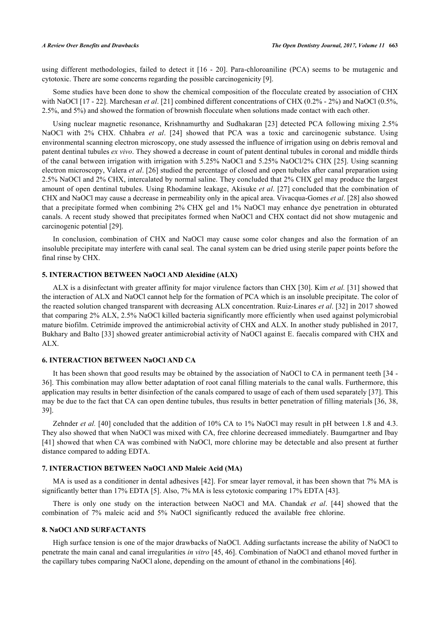using different methodologies, failed to detect it [\[16](#page-5-14) - [20](#page-5-16)]. Para-chloroaniline (PCA) seems to be mutagenic and cytotoxic. There are some concerns regarding the possible carcinogenicity [\[9](#page-5-7)].

Some studies have been done to show the chemical composition of the flocculate created by association of CHX with NaOCl [\[17](#page-5-17) - [22\]](#page-5-18). Marchesan *et al.* [[21\]](#page-5-19) combined different concentrations of CHX (0.2% - 2%) and NaOCl (0.5%, 2.5%, and 5%) and showed the formation of brownish flocculate when solutions made contact with each other.

Using nuclear magnetic resonance, Krishnamurthy and Sudhakaran [\[23](#page-5-20)] detected PCA following mixing 2.5% NaOCl with 2% CHX. Chhabra *et al*.[[24](#page-6-0)] showed that PCA was a toxic and carcinogenic substance. Using environmental scanning electron microscopy, one study assessed the influence of irrigation using on debris removal and patent dentinal tubules *ex vivo*. They showed a decrease in count of patent dentinal tubules in coronal and middle thirds of the canal between irrigation with irrigation with 5.25% NaOCl and 5.25% NaOCl/2% CHX [[25\]](#page-6-1). Using scanning electron microscopy, Valera *et al*. [[26](#page-6-2)] studied the percentage of closed and open tubules after canal preparation using 2.5% NaOCl and 2% CHX, intercalated by normal saline. They concluded that 2% CHX gel may produce the largest amount of open dentinal tubules. Using Rhodamine leakage, Akisuke *et al*. [[27\]](#page-6-3) concluded that the combination of CHX and NaOCl may cause a decrease in permeability only in the apical area. Vivacqua-Gomes *et al*. [\[28](#page-6-4)] also showed that a precipitate formed when combining 2% CHX gel and 1% NaOCl may enhance dye penetration in obturated canals. A recent study showed that precipitates formed when NaOCl and CHX contact did not show mutagenic and carcinogenic potential [\[29](#page-6-5)].

In conclusion, combination of CHX and NaOCl may cause some color changes and also the formation of an insoluble precipitate may interfere with canal seal. The canal system can be dried using sterile paper points before the final rinse by CHX.

#### **5. INTERACTION BETWEEN NaOCl AND Alexidine (ALX)**

ALX is a disinfectant with greater affinity for major virulence factors than CHX [[30](#page-6-6)]. Kim *et al.* [\[31](#page-6-7)] showed that the interaction of ALX and NaOCl cannot help for the formation of PCA which is an insoluble precipitate. The color of the reacted solution changed transparent with decreasing ALX concentration. Ruiz-Linares *et al*. [[32\]](#page-6-8) in 2017 showed that comparing 2% ALX, 2.5% NaOCl killed bacteria significantly more efficiently when used against polymicrobial mature biofilm. Cetrimide improved the antimicrobial activity of CHX and ALX. In another study published in 2017, Bukhary and Balto [[33](#page-6-9)] showed greater antimicrobial activity of NaOCl against E. faecalis compared with CHX and ALX.

#### **6. INTERACTION BETWEEN NaOCl AND CA**

It has been shown that good results may be obtained by the association of NaOCl to CA in permanent teeth [[34](#page-6-10) - [36\]](#page-6-11). This combination may allow better adaptation of root canal filling materials to the canal walls. Furthermore, this application may results in better disinfection of the canals compared to usage of each of them used separately [\[37](#page-6-12)]. This may be due to the fact that CA can open dentine tubules, thus results in better penetration of filling materials [\[36,](#page-6-11) [38](#page-6-13), [39\]](#page-6-14).

Zehnder et al. [\[40\]](#page-6-15) concluded that the addition of 10% CA to 1% NaOCl may result in pH between 1.8 and 4.3. They also showed that when NaOCl was mixed with CA, free chlorine decreased immediately. Baumgartner and Ibay [\[41](#page-6-16)] showed that when CA was combined with NaOCl, more chlorine may be detectable and also present at further distance compared to adding EDTA.

#### **7. INTERACTION BETWEEN NaOCl AND Maleic Acid (MA)**

MA is used as a conditioner in dental adhesives [\[42\]](#page-6-17). For smear layer removal, it has been shown that 7% MA is significantly better than 17% EDTA [[5\]](#page-5-3). Also, 7% MA is less cytotoxic comparing 17% EDTA [\[43](#page-6-18)].

There is only one study on the interaction between NaOCl and MA. Chandak *et al*. [\[44\]](#page-6-19) showed that the combination of 7% maleic acid and 5% NaOCl significantly reduced the available free chlorine.

#### **8. NaOCl AND SURFACTANTS**

High surface tension is one of the major drawbacks of NaOCl. Adding surfactants increase the ability of NaOCl to penetrate the main canal and canal irregularities *in vitro* [\[45](#page-7-0), [46\]](#page-7-1). Combination of NaOCl and ethanol moved further in the capillary tubes comparing NaOCl alone, depending on the amount of ethanol in the combinations [[46\]](#page-7-1).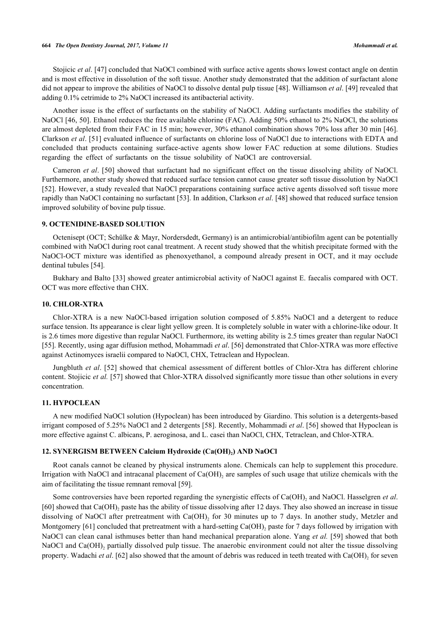Stojicic *et al.* [\[47](#page-7-2)] concluded that NaOCl combined with surface active agents shows lowest contact angle on dentin and is most effective in dissolution of the soft tissue. Another study demonstrated that the addition of surfactant alone did not appear to improve the abilities of NaOCl to dissolve dental pulp tissue [[48\]](#page-7-3). Williamson *et al*. [[49\]](#page-7-4) revealed that adding 0.1% cetrimide to 2% NaOCl increased its antibacterial activity.

Another issue is the effect of surfactants on the stability of NaOCl. Adding surfactants modifies the stability of NaOCl [[46,](#page-7-1) [50\]](#page-7-5). Ethanol reduces the free available chlorine (FAC). Adding 50% ethanol to 2% NaOCl, the solutions are almost depleted from their FAC in 15 min; however, 30% ethanol combination shows 70% loss after 30 min [[46\]](#page-7-1). Clarkson *et al*. [[51\]](#page-7-6) evaluated influence of surfactants on chlorine loss of NaOCl due to interactions with EDTA and concluded that products containing surface-active agents show lower FAC reduction at some dilutions. Studies regarding the effect of surfactants on the tissue solubility of NaOCl are controversial.

Cameron *et al*. [\[50\]](#page-7-5) showed that surfactant had no significant effect on the tissue dissolving ability of NaOCl. Furthermore, another study showed that reduced surface tension cannot cause greater soft tissue dissolution by NaOCl [\[52](#page-7-7)]. However, a study revealed that NaOCl preparations containing surface active agents dissolved soft tissue more rapidly than NaOCl containing no surfactant [[53\]](#page-7-8). In addition, Clarkson *et al*. [[48](#page-7-3)] showed that reduced surface tension improved solubility of bovine pulp tissue.

#### **9. OCTENIDINE-BASED SOLUTION**

Octenisept (OCT; Schülke & Mayr, Nordersdedt, Germany) is an antimicrobial/antibiofilm agent can be potentially combined with NaOCl during root canal treatment. A recent study showed that the whitish precipitate formed with the NaOCl-OCT mixture was identified as phenoxyethanol, a compound already present in OCT, and it may occlude dentinal tubules [\[54](#page-7-9)].

Bukhary and Balto [\[33](#page-6-9)] showed greater antimicrobial activity of NaOCl against E. faecalis compared with OCT. OCT was more effective than CHX.

#### **10. CHLOR-XTRA**

Chlor-XTRA is a new NaOCl-based irrigation solution composed of 5.85% NaOCl and a detergent to reduce surface tension. Its appearance is clear light yellow green. It is completely soluble in water with a chlorine-like odour. It is 2.6 times more digestive than regular NaOCl. Furthermore, its wetting ability is 2.5 times greater than regular NaOCl [\[55](#page-7-10)]. Recently, using agar diffusion method, Mohammadi *et al*. [\[56](#page-7-11)] demonstrated that Chlor-XTRA was more effective against Actinomyces israelii compared to NaOCl, CHX, Tetraclean and Hypoclean.

Jungbluth *et al*. [[52\]](#page-7-7) showed that chemical assessment of different bottles of Chlor-Xtra has different chlorine content. Stojicic *et al.* [[57\]](#page-7-12) showed that Chlor-XTRA dissolved significantly more tissue than other solutions in every concentration.

#### **11. HYPOCLEAN**

A new modified NaOCl solution (Hypoclean) has been introduced by Giardino. This solution is a detergents-based irrigant composed of 5.25% NaOCl and 2 detergents [[58](#page-7-13)]. Recently, Mohammadi *et al*. [[56\]](#page-7-11) showed that Hypoclean is more effective against C. albicans, P. aeroginosa, and L. casei than NaOCl, CHX, Tetraclean, and Chlor-XTRA.

#### **12. SYNERGISM BETWEEN Calcium Hydroxide (Ca(OH)<sup>2</sup> ) AND NaOCl**

Root canals cannot be cleaned by physical instruments alone. Chemicals can help to supplement this procedure. Irrigation with NaOCl and intracanal placement of  $Ca(OH)_2$  are samples of such usage that utilize chemicals with the aim of facilitating the tissue remnant removal [[59\]](#page-7-14).

Some controversies have been reported regarding the synergistic effects of Ca(OH)<sub>2</sub> and NaOCl. Hasselgren *et al.* [\[60](#page-7-15)] showed that Ca(OH)<sub>2</sub> paste has the ability of tissue dissolving after 12 days. They also showed an increase in tissue dissolving of NaOCl after pretreatment with  $Ca(OH)_2$  for 30 minutes up to 7 days. In another study, Metzler and Montgomery [\[61](#page-7-16)] concluded that pretreatment with a hard-setting  $Ca(OH)_2$  paste for 7 days followed by irrigation with NaOCl can clean canal isthmuses better than hand mechanical preparation alone. Yang *et al.* [[59\]](#page-7-14) showed that both NaOCl and Ca(OH)<sub>2</sub> partially dissolved pulp tissue. The anaerobic environment could not alter the tissue dissolving property. Wadachi et al. [[62\]](#page-7-17) also showed that the amount of debris was reduced in teeth treated with Ca(OH)<sub>2</sub> for seven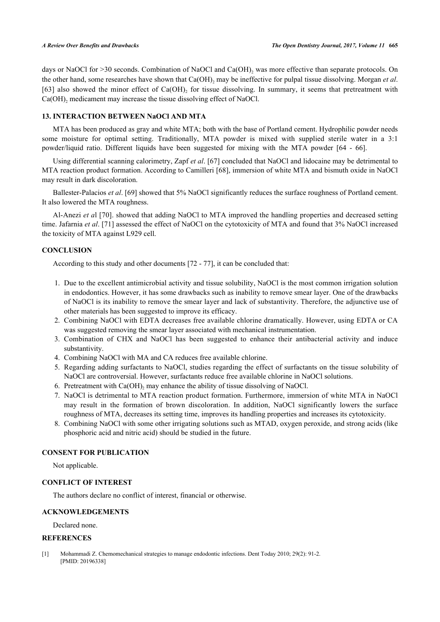days or NaOCl for >30 seconds. Combination of NaOCl and  $Ca(OH)$ <sub>2</sub> was more effective than separate protocols. On the other hand, some researches have shown that Ca(OH)<sub>2</sub> may be ineffective for pulpal tissue dissolving. Morgan *et al.* [\[63](#page-7-18)] also showed the minor effect of  $Ca(OH)$ <sub>2</sub> for tissue dissolving. In summary, it seems that pretreatment with  $Ca(OH)_{2}$  medicament may increase the tissue dissolving effect of NaOCl.

#### **13. INTERACTION BETWEEN NaOCl AND MTA**

MTA has been produced as gray and white MTA; both with the base of Portland cement. Hydrophilic powder needs some moisture for optimal setting. Traditionally, MTA powder is mixed with supplied sterile water in a 3:1 powder/liquid ratio. Different liquids have been suggested for mixing with the MTA powder[[64](#page-8-0) - [66](#page-8-1)].

Using differential scanning calorimetry, Zapf *et al*. [\[67](#page-8-2)] concluded that NaOCl and lidocaine may be detrimental to MTA reaction product formation. According to Camilleri [[68\]](#page-8-3), immersion of white MTA and bismuth oxide in NaOCl may result in dark discoloration.

Ballester-Palacios *et al*. [\[69](#page-8-4)] showed that 5% NaOCl significantly reduces the surface roughness of Portland cement. It also lowered the MTA roughness.

Al-Anezi *et a*l [[70\]](#page-8-5). showed that adding NaOCl to MTA improved the handling properties and decreased setting time. Jafarnia *et al*. [[71](#page-8-6)] assessed the effect of NaOCl on the cytotoxicity of MTA and found that 3% NaOCl increased the toxicity of MTA against L929 cell.

#### **CONCLUSION**

According to this study and other documents [[72](#page-8-7) - [77](#page-8-8)], it can be concluded that:

- 1. Due to the excellent antimicrobial activity and tissue solubility, NaOCl is the most common irrigation solution in endodontics. However, it has some drawbacks such as inability to remove smear layer. One of the drawbacks of NaOCl is its inability to remove the smear layer and lack of substantivity. Therefore, the adjunctive use of other materials has been suggested to improve its efficacy.
- 2. Combining NaOCl with EDTA decreases free available chlorine dramatically. However, using EDTA or CA was suggested removing the smear layer associated with mechanical instrumentation.
- 3. Combination of CHX and NaOCl has been suggested to enhance their antibacterial activity and induce substantivity.
- 4. Combining NaOCl with MA and CA reduces free available chlorine.
- 5. Regarding adding surfactants to NaOCl, studies regarding the effect of surfactants on the tissue solubility of NaOCl are controversial. However, surfactants reduce free available chlorine in NaOCl solutions.
- 6. Pretreatment with Ca(OH), may enhance the ability of tissue dissolving of NaOCl.
- 7. NaOCl is detrimental to MTA reaction product formation. Furthermore, immersion of white MTA in NaOCl may result in the formation of brown discoloration. In addition, NaOCl significantly lowers the surface roughness of MTA, decreases its setting time, improves its handling properties and increases its cytotoxicity.
- 8. Combining NaOCl with some other irrigating solutions such as MTAD, oxygen peroxide, and strong acids (like phosphoric acid and nitric acid) should be studied in the future.

#### **CONSENT FOR PUBLICATION**

Not applicable.

### **CONFLICT OF INTEREST**

The authors declare no conflict of interest, financial or otherwise.

#### **ACKNOWLEDGEMENTS**

Declared none.

#### **REFERENCES**

<span id="page-4-0"></span>[1] Mohammadi Z. Chemomechanical strategies to manage endodontic infections. Dent Today 2010; 29(2): 91-2. [PMID: [20196338\]](http://www.ncbi.nlm.nih.gov/pubmed/20196338)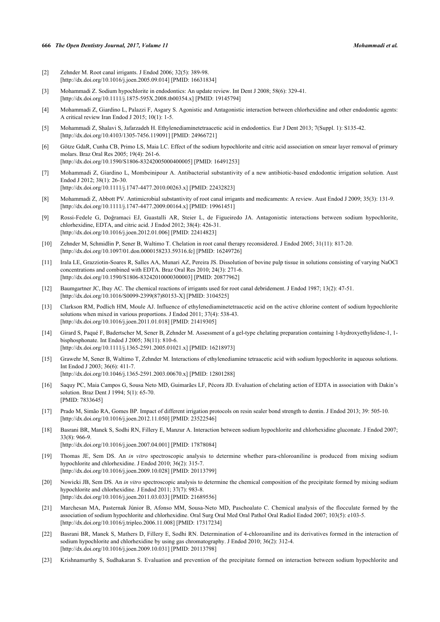#### **666** *The Open Dentistry Journal, 2017, Volume 11 Mohammadi et al.*

- <span id="page-5-0"></span>[2] Zehnder M. Root canal irrigants. J Endod 2006; 32(5): 389-98. [\[http://dx.doi.org/10.1016/j.joen.2005.09.014\]](http://dx.doi.org/10.1016/j.joen.2005.09.014) [PMID: [16631834](http://www.ncbi.nlm.nih.gov/pubmed/16631834)]
- <span id="page-5-1"></span>[3] Mohammadi Z. Sodium hypochlorite in endodontics: An update review. Int Dent J 2008; 58(6): 329-41. [\[http://dx.doi.org/10.1111/j.1875-595X.2008.tb00354.x\]](http://dx.doi.org/10.1111/j.1875-595X.2008.tb00354.x) [PMID: [19145794](http://www.ncbi.nlm.nih.gov/pubmed/19145794)]
- <span id="page-5-2"></span>[4] Mohammadi Z, Giardino L, Palazzi F, Asgary S. Agonistic and Antagonistic interaction between chlorhexidine and other endodontic agents: A critical review Iran Endod J 2015; 10(1): 1-5.
- <span id="page-5-3"></span>[5] Mohammadi Z, Shalavi S, Jafarzadeh H. Ethylenediaminetetraacetic acid in endodontics. Eur J Dent 2013; 7(Suppl. 1): S135-42. [\[http://dx.doi.org/10.4103/1305-7456.119091](http://dx.doi.org/10.4103/1305-7456.119091)] [PMID: [24966721](http://www.ncbi.nlm.nih.gov/pubmed/24966721)]
- <span id="page-5-4"></span>[6] Götze GdaR, Cunha CB, Primo LS, Maia LC. Effect of the sodium hypochlorite and citric acid association on smear layer removal of primary molars. Braz Oral Res 2005; 19(4): 261-6. [\[http://dx.doi.org/10.1590/S1806-83242005000400005\]](http://dx.doi.org/10.1590/S1806-83242005000400005) [PMID: [16491253](http://www.ncbi.nlm.nih.gov/pubmed/16491253)]
- <span id="page-5-5"></span>[7] Mohammadi Z, Giardino L, Mombeinipour A. Antibacterial substantivity of a new antibiotic-based endodontic irrigation solution. Aust Endod J 2012; 38(1): 26-30. [\[http://dx.doi.org/10.1111/j.1747-4477.2010.00263.x\]](http://dx.doi.org/10.1111/j.1747-4477.2010.00263.x) [PMID: [22432823](http://www.ncbi.nlm.nih.gov/pubmed/22432823)]
- <span id="page-5-6"></span>[8] Mohammadi Z, Abbott PV. Antimicrobial substantivity of root canal irrigants and medicaments: A review. Aust Endod J 2009; 35(3): 131-9. [\[http://dx.doi.org/10.1111/j.1747-4477.2009.00164.x\]](http://dx.doi.org/10.1111/j.1747-4477.2009.00164.x) [PMID: [19961451](http://www.ncbi.nlm.nih.gov/pubmed/19961451)]
- <span id="page-5-7"></span>[9] Rossi-Fedele G, Doğramaci EJ, Guastalli AR, Steier L, de Figueiredo JA. Antagonistic interactions between sodium hypochlorite, chlorhexidine, EDTA, and citric acid. J Endod 2012; 38(4): 426-31. [\[http://dx.doi.org/10.1016/j.joen.2012.01.006\]](http://dx.doi.org/10.1016/j.joen.2012.01.006) [PMID: [22414823](http://www.ncbi.nlm.nih.gov/pubmed/22414823)]
- <span id="page-5-8"></span>[10] Zehnder M, Schmidlin P, Sener B, Waltimo T. Chelation in root canal therapy reconsidered. J Endod 2005; 31(11): 817-20. [\[http://dx.doi.org/10.1097/01.don.0000158233.59316.fe](http://dx.doi.org/10.1097/01.don.0000158233.59316.fe)] [PMID: [16249726\]](http://www.ncbi.nlm.nih.gov/pubmed/16249726)
- <span id="page-5-9"></span>[11] Irala LE, Grazziotin-Soares R, Salles AA, Munari AZ, Pereira JS. Dissolution of bovine pulp tissue in solutions consisting of varying NaOCl concentrations and combined with EDTA. Braz Oral Res 2010; 24(3): 271-6. [\[http://dx.doi.org/10.1590/S1806-83242010000300003\]](http://dx.doi.org/10.1590/S1806-83242010000300003) [PMID: [20877962](http://www.ncbi.nlm.nih.gov/pubmed/20877962)]
- <span id="page-5-10"></span>[12] Baumgartner JC, Ibay AC. The chemical reactions of irrigants used for root canal debridement. J Endod 1987; 13(2): 47-51. [\[http://dx.doi.org/10.1016/S0099-2399\(87\)80153-X\]](http://dx.doi.org/10.1016/S0099-2399(87)80153-X) [PMID: [3104525](http://www.ncbi.nlm.nih.gov/pubmed/3104525)]
- <span id="page-5-11"></span>[13] Clarkson RM, Podlich HM, Moule AJ. Influence of ethylenediaminetetraacetic acid on the active chlorine content of sodium hypochlorite solutions when mixed in various proportions. J Endod 2011; 37(4): 538-43. [\[http://dx.doi.org/10.1016/j.joen.2011.01.018\]](http://dx.doi.org/10.1016/j.joen.2011.01.018) [PMID: [21419305](http://www.ncbi.nlm.nih.gov/pubmed/21419305)]
- <span id="page-5-12"></span>[14] Girard S, Paqué F, Badertscher M, Sener B, Zehnder M. Assessment of a gel-type chelating preparation containing 1-hydroxyethylidene-1, 1 bisphosphonate. Int Endod J 2005; 38(11): 810-6. [\[http://dx.doi.org/10.1111/j.1365-2591.2005.01021.x\]](http://dx.doi.org/10.1111/j.1365-2591.2005.01021.x) [PMID: [16218973](http://www.ncbi.nlm.nih.gov/pubmed/16218973)]
- <span id="page-5-13"></span>[15] Grawehr M, Sener B, Waltimo T, Zehnder M. Interactions of ethylenediamine tetraacetic acid with sodium hypochlorite in aqueous solutions. Int Endod J 2003; 36(6): 411-7. [\[http://dx.doi.org/10.1046/j.1365-2591.2003.00670.x\]](http://dx.doi.org/10.1046/j.1365-2591.2003.00670.x) [PMID: [12801288](http://www.ncbi.nlm.nih.gov/pubmed/12801288)]
- <span id="page-5-14"></span>[16] Saquy PC, Maia Campos G, Sousa Neto MD, Guimarães LF, Pécora JD. Evaluation of chelating action of EDTA in association with Dakin's solution. Braz Dent J 1994; 5(1): 65-70. [PMID: [7833645\]](http://www.ncbi.nlm.nih.gov/pubmed/7833645)
- <span id="page-5-17"></span>[17] Prado M, Simão RA, Gomes BP. Impact of different irrigation protocols on resin sealer bond strength to dentin. J Endod 2013; 39: 505-10. [\[http://dx.doi.org/10.1016/j.joen.2012.11.050\]](http://dx.doi.org/10.1016/j.joen.2012.11.050) [PMID: [23522546](http://www.ncbi.nlm.nih.gov/pubmed/23522546)]
- <span id="page-5-15"></span>[18] Basrani BR, Manek S, Sodhi RN, Fillery E, Manzur A. Interaction between sodium hypochlorite and chlorhexidine gluconate. J Endod 2007; 33(8): 966-9. [\[http://dx.doi.org/10.1016/j.joen.2007.04.001\]](http://dx.doi.org/10.1016/j.joen.2007.04.001) [PMID: [17878084](http://www.ncbi.nlm.nih.gov/pubmed/17878084)]
- [19] Thomas JE, Sem DS. An *in vitro* spectroscopic analysis to determine whether para-chloroaniline is produced from mixing sodium hypochlorite and chlorhexidine. J Endod 2010; 36(2): 315-7.

[\[http://dx.doi.org/10.1016/j.joen.2009.10.028\]](http://dx.doi.org/10.1016/j.joen.2009.10.028) [PMID: [20113799](http://www.ncbi.nlm.nih.gov/pubmed/20113799)]

- <span id="page-5-16"></span>[20] Nowicki JB, Sem DS. An *in vitro* spectroscopic analysis to determine the chemical composition of the precipitate formed by mixing sodium hypochlorite and chlorhexidine. J Endod 2011; 37(7): 983-8. [\[http://dx.doi.org/10.1016/j.joen.2011.03.033\]](http://dx.doi.org/10.1016/j.joen.2011.03.033) [PMID: [21689556](http://www.ncbi.nlm.nih.gov/pubmed/21689556)]
- <span id="page-5-19"></span>[21] Marchesan MA, Pasternak Júnior B, Afonso MM, Sousa-Neto MD, Paschoalato C. Chemical analysis of the flocculate formed by the association of sodium hypochlorite and chlorhexidine. Oral Surg Oral Med Oral Pathol Oral Radiol Endod 2007; 103(5): e103-5. [\[http://dx.doi.org/10.1016/j.tripleo.2006.11.008\]](http://dx.doi.org/10.1016/j.tripleo.2006.11.008) [PMID: [17317234](http://www.ncbi.nlm.nih.gov/pubmed/17317234)]
- <span id="page-5-18"></span>[22] Basrani BR, Manek S, Mathers D, Fillery E, Sodhi RN. Determination of 4-chloroaniline and its derivatives formed in the interaction of sodium hypochlorite and chlorhexidine by using gas chromatography. J Endod 2010; 36(2): 312-4. [\[http://dx.doi.org/10.1016/j.joen.2009.10.031\]](http://dx.doi.org/10.1016/j.joen.2009.10.031) [PMID: [20113798](http://www.ncbi.nlm.nih.gov/pubmed/20113798)]
- <span id="page-5-20"></span>[23] Krishnamurthy S, Sudhakaran S. Evaluation and prevention of the precipitate formed on interaction between sodium hypochlorite and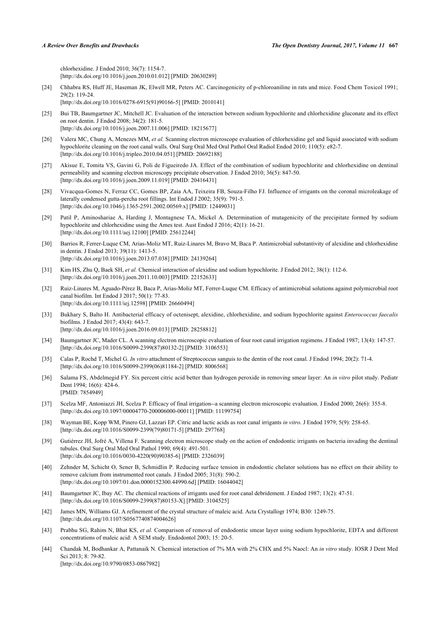chlorhexidine. J Endod 2010; 36(7): 1154-7. [\[http://dx.doi.org/10.1016/j.joen.2010.01.012\]](http://dx.doi.org/10.1016/j.joen.2010.01.012) [PMID: [20630289](http://www.ncbi.nlm.nih.gov/pubmed/20630289)]

- <span id="page-6-0"></span>[24] Chhabra RS, Huff JE, Haseman JK, Elwell MR, Peters AC. Carcinogenicity of p-chloroaniline in rats and mice. Food Chem Toxicol 1991; 29(2): 119-24.
- [\[http://dx.doi.org/10.1016/0278-6915\(91\)90166-5](http://dx.doi.org/10.1016/0278-6915(91)90166-5)] [PMID: [2010141](http://www.ncbi.nlm.nih.gov/pubmed/2010141)]
- <span id="page-6-1"></span>[25] Bui TB, Baumgartner JC, Mitchell JC. Evaluation of the interaction between sodium hypochlorite and chlorhexidine gluconate and its effect on root dentin. J Endod 2008; 34(2): 181-5. [\[http://dx.doi.org/10.1016/j.joen.2007.11.006\]](http://dx.doi.org/10.1016/j.joen.2007.11.006) [PMID: [18215677](http://www.ncbi.nlm.nih.gov/pubmed/18215677)]
- <span id="page-6-2"></span>[26] Valera MC, Chung A, Menezes MM, *et al.* Scanning electron microscope evaluation of chlorhexidine gel and liquid associated with sodium hypochlorite cleaning on the root canal walls. Oral Surg Oral Med Oral Pathol Oral Radiol Endod 2010; 110(5): e82-7. [\[http://dx.doi.org/10.1016/j.tripleo.2010.04.051\]](http://dx.doi.org/10.1016/j.tripleo.2010.04.051) [PMID: [20692188](http://www.ncbi.nlm.nih.gov/pubmed/20692188)]
- <span id="page-6-3"></span>[27] Akisue E, Tomita VS, Gavini G, Poli de Figueiredo JA. Effect of the combination of sodium hypochlorite and chlorhexidine on dentinal permeability and scanning electron microscopy precipitate observation. J Endod 2010; 36(5): 847-50. [\[http://dx.doi.org/10.1016/j.joen.2009.11.019\]](http://dx.doi.org/10.1016/j.joen.2009.11.019) [PMID: [20416431](http://www.ncbi.nlm.nih.gov/pubmed/20416431)]
- <span id="page-6-4"></span>[28] Vivacqua-Gomes N, Ferraz CC, Gomes BP, Zaia AA, Teixeira FB, Souza-Filho FJ. Influence of irrigants on the coronal microleakage of laterally condensed gutta-percha root fillings. Int Endod J 2002; 35(9): 791-5. [\[http://dx.doi.org/10.1046/j.1365-2591.2002.00569.x\]](http://dx.doi.org/10.1046/j.1365-2591.2002.00569.x) [PMID: [12449031](http://www.ncbi.nlm.nih.gov/pubmed/12449031)]
- <span id="page-6-5"></span>[29] Patil P, Aminoshariae A, Harding J, Montagnese TA, Mickel A. Determination of mutagenicity of the precipitate formed by sodium hypochlorite and chlorhexidine using the Ames test. Aust Endod J 2016; 42(1): 16-21. [\[http://dx.doi.org/10.1111/aej.12100](http://dx.doi.org/10.1111/aej.12100)] [PMID: [25612244\]](http://www.ncbi.nlm.nih.gov/pubmed/25612244)
- <span id="page-6-6"></span>[30] Barrios R, Ferrer-Luque CM, Arias-Moliz MT, Ruiz-Linares M, Bravo M, Baca P. Antimicrobial substantivity of alexidine and chlorhexidine in dentin. J Endod 2013; 39(11): 1413-5. [\[http://dx.doi.org/10.1016/j.joen.2013.07.038\]](http://dx.doi.org/10.1016/j.joen.2013.07.038) [PMID: [24139264](http://www.ncbi.nlm.nih.gov/pubmed/24139264)]
- <span id="page-6-7"></span>[31] Kim HS, Zhu Q, Baek SH, *et al.* Chemical interaction of alexidine and sodium hypochlorite. J Endod 2012; 38(1): 112-6. [\[http://dx.doi.org/10.1016/j.joen.2011.10.003\]](http://dx.doi.org/10.1016/j.joen.2011.10.003) [PMID: [22152633](http://www.ncbi.nlm.nih.gov/pubmed/22152633)]
- <span id="page-6-8"></span>[32] Ruiz-Linares M, Aguado-Pérez B, Baca P, Arias-Moliz MT, Ferrer-Luque CM. Efficacy of antimicrobial solutions against polymicrobial root canal biofilm. Int Endod J 2017; 50(1): 77-83. [\[http://dx.doi.org/10.1111/iej.12598\]](http://dx.doi.org/10.1111/iej.12598) [PMID: [26660494](http://www.ncbi.nlm.nih.gov/pubmed/26660494)]
- <span id="page-6-9"></span>[33] Bukhary S, Balto H. Antibacterial efficacy of octenisept, alexidine, chlorhexidine, and sodium hypochlorite against *Enterococcus faecalis* biofilms. J Endod 2017; 43(4): 643-7. [\[http://dx.doi.org/10.1016/j.joen.2016.09.013\]](http://dx.doi.org/10.1016/j.joen.2016.09.013) [PMID: [28258812](http://www.ncbi.nlm.nih.gov/pubmed/28258812)]
- <span id="page-6-10"></span>[34] Baumgartner JC, Mader CL. A scanning electron microscopic evaluation of four root canal irrigation regimens. J Endod 1987; 13(4): 147-57. [\[http://dx.doi.org/10.1016/S0099-2399\(87\)80132-2\]](http://dx.doi.org/10.1016/S0099-2399(87)80132-2) [PMID: [3106553](http://www.ncbi.nlm.nih.gov/pubmed/3106553)]
- [35] Calas P, Rochd T, Michel G. *In vitro* attachment of Streptococcus sanguis to the dentin of the root canal. J Endod 1994; 20(2): 71-4. [\[http://dx.doi.org/10.1016/S0099-2399\(06\)81184-2\]](http://dx.doi.org/10.1016/S0099-2399(06)81184-2) [PMID: [8006568](http://www.ncbi.nlm.nih.gov/pubmed/8006568)]
- <span id="page-6-11"></span>[36] Salama FS, Abdelmegid FY. Six percent citric acid better than hydrogen peroxide in removing smear layer: An *in vitro* pilot study. Pediatr Dent 1994; 16(6): 424-6. [PMID: [7854949\]](http://www.ncbi.nlm.nih.gov/pubmed/7854949)
- <span id="page-6-12"></span>[37] Scelza MF, Antoniazzi JH, Scelza P. Efficacy of final irrigation--a scanning electron microscopic evaluation. J Endod 2000; 26(6): 355-8. [\[http://dx.doi.org/10.1097/00004770-200006000-00011](http://dx.doi.org/10.1097/00004770-200006000-00011)] [PMID: [11199754\]](http://www.ncbi.nlm.nih.gov/pubmed/11199754)
- <span id="page-6-13"></span>[38] Wayman BE, Kopp WM, Pinero GJ, Lazzari EP. Citric and lactic acids as root canal irrigants *in vitro*. J Endod 1979; 5(9): 258-65. [\[http://dx.doi.org/10.1016/S0099-2399\(79\)80171-5\]](http://dx.doi.org/10.1016/S0099-2399(79)80171-5) [PMID: [297768](http://www.ncbi.nlm.nih.gov/pubmed/297768)]
- <span id="page-6-14"></span>[39] Gutiérrez JH, Jofré A, Villena F. Scanning electron microscope study on the action of endodontic irrigants on bacteria invading the dentinal tubules. Oral Surg Oral Med Oral Pathol 1990; 69(4): 491-501. [\[http://dx.doi.org/10.1016/0030-4220\(90\)90385-6](http://dx.doi.org/10.1016/0030-4220(90)90385-6)] [PMID: [2326039](http://www.ncbi.nlm.nih.gov/pubmed/2326039)]
- <span id="page-6-15"></span>[40] Zehnder M, Schicht O, Sener B, Schmidlin P. Reducing surface tension in endodontic chelator solutions has no effect on their ability to remove calcium from instrumented root canals. J Endod 2005; 31(8): 590-2. [\[http://dx.doi.org/10.1097/01.don.0000152300.44990.6d\]](http://dx.doi.org/10.1097/01.don.0000152300.44990.6d) [PMID: [16044042](http://www.ncbi.nlm.nih.gov/pubmed/16044042)]
- <span id="page-6-16"></span>[41] Baumgartner JC, Ibay AC. The chemical reactions of irrigants used for root canal debridement. J Endod 1987; 13(2): 47-51. [\[http://dx.doi.org/10.1016/S0099-2399\(87\)80153-X\]](http://dx.doi.org/10.1016/S0099-2399(87)80153-X) [PMID: [3104525](http://www.ncbi.nlm.nih.gov/pubmed/3104525)]
- <span id="page-6-17"></span>[42] James MN, Williams GJ. A refinement of the crystal structure of maleic acid. Acta Crystallogr 1974; B30: 1249-75. [\[http://dx.doi.org/10.1107/S0567740874004626](http://dx.doi.org/10.1107/S0567740874004626)]
- <span id="page-6-18"></span>[43] Prabhu SG, Rahim N, Bhat KS, *et al.* Comparison of removal of endodontic smear layer using sodium hypochlorite, EDTA and different concentrations of maleic acid: A SEM study. Endodontol 2003; 15: 20-5.
- <span id="page-6-19"></span>[44] Chandak M, Bodhankar A, Pattanaik N. Chemical interaction of 7% MA with 2% CHX and 5% Naocl: An *in vitro* study. IOSR J Dent Med Sci 2013; 8: 79-82. [\[http://dx.doi.org/10.9790/0853-0867982](http://dx.doi.org/10.9790/0853-0867982)]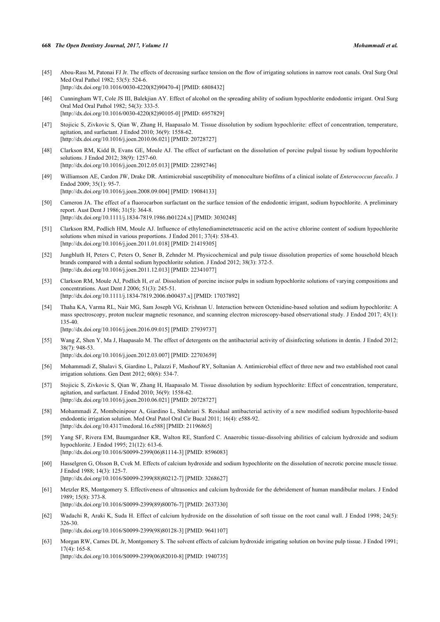- <span id="page-7-0"></span>[45] Abou-Rass M, Patonai FJ Jr. The effects of decreasing surface tension on the flow of irrigating solutions in narrow root canals. Oral Surg Oral Med Oral Pathol 1982; 53(5): 524-6. [\[http://dx.doi.org/10.1016/0030-4220\(82\)90470-4](http://dx.doi.org/10.1016/0030-4220(82)90470-4)] [PMID: [6808432](http://www.ncbi.nlm.nih.gov/pubmed/6808432)]
- <span id="page-7-1"></span>[46] Cunningham WT, Cole JS III, Balekjian AY. Effect of alcohol on the spreading ability of sodium hypochlorite endodontic irrigant. Oral Surg Oral Med Oral Pathol 1982; 54(3): 333-5. [\[http://dx.doi.org/10.1016/0030-4220\(82\)90105-0](http://dx.doi.org/10.1016/0030-4220(82)90105-0)] [PMID: [6957829](http://www.ncbi.nlm.nih.gov/pubmed/6957829)]
- <span id="page-7-2"></span>[47] Stojicic S, Zivkovic S, Qian W, Zhang H, Haapasalo M. Tissue dissolution by sodium hypochlorite: effect of concentration, temperature, agitation, and surfactant. J Endod 2010; 36(9): 1558-62. [\[http://dx.doi.org/10.1016/j.joen.2010.06.021\]](http://dx.doi.org/10.1016/j.joen.2010.06.021) [PMID: [20728727](http://www.ncbi.nlm.nih.gov/pubmed/20728727)]
- <span id="page-7-3"></span>[48] Clarkson RM, Kidd B, Evans GE, Moule AJ. The effect of surfactant on the dissolution of porcine pulpal tissue by sodium hypochlorite solutions. J Endod 2012; 38(9): 1257-60. [\[http://dx.doi.org/10.1016/j.joen.2012.05.013\]](http://dx.doi.org/10.1016/j.joen.2012.05.013) [PMID: [22892746](http://www.ncbi.nlm.nih.gov/pubmed/22892746)]
- <span id="page-7-4"></span>[49] Williamson AE, Cardon JW, Drake DR. Antimicrobial susceptibility of monoculture biofilms of a clinical isolate of *Enterococcus faecalis*. J Endod 2009; 35(1): 95-7. [\[http://dx.doi.org/10.1016/j.joen.2008.09.004\]](http://dx.doi.org/10.1016/j.joen.2008.09.004) [PMID: [19084133](http://www.ncbi.nlm.nih.gov/pubmed/19084133)]
- <span id="page-7-5"></span>[50] Cameron JA. The effect of a fluorocarbon surfactant on the surface tension of the endodontic irrigant, sodium hypochlorite. A preliminary report. Aust Dent J 1986; 31(5): 364-8. [\[http://dx.doi.org/10.1111/j.1834-7819.1986.tb01224.x\]](http://dx.doi.org/10.1111/j.1834-7819.1986.tb01224.x) [PMID: [3030248](http://www.ncbi.nlm.nih.gov/pubmed/3030248)]
- <span id="page-7-6"></span>[51] Clarkson RM, Podlich HM, Moule AJ. Influence of ethylenediaminetetraacetic acid on the active chlorine content of sodium hypochlorite solutions when mixed in various proportions. J Endod 2011; 37(4): 538-43. [\[http://dx.doi.org/10.1016/j.joen.2011.01.018\]](http://dx.doi.org/10.1016/j.joen.2011.01.018) [PMID: [21419305](http://www.ncbi.nlm.nih.gov/pubmed/21419305)]
- <span id="page-7-7"></span>[52] Jungbluth H, Peters C, Peters O, Sener B, Zehnder M. Physicochemical and pulp tissue dissolution properties of some household bleach brands compared with a dental sodium hypochlorite solution. J Endod 2012; 38(3): 372-5. [\[http://dx.doi.org/10.1016/j.joen.2011.12.013\]](http://dx.doi.org/10.1016/j.joen.2011.12.013) [PMID: [22341077](http://www.ncbi.nlm.nih.gov/pubmed/22341077)]
- <span id="page-7-8"></span>[53] Clarkson RM, Moule AJ, Podlich H, *et al.* Dissolution of porcine incisor pulps in sodium hypochlorite solutions of varying compositions and concentrations. Aust Dent J 2006; 51(3): 245-51. [\[http://dx.doi.org/10.1111/j.1834-7819.2006.tb00437.x\]](http://dx.doi.org/10.1111/j.1834-7819.2006.tb00437.x) [PMID: [17037892](http://www.ncbi.nlm.nih.gov/pubmed/17037892)]
- <span id="page-7-9"></span>[54] Thaha KA, Varma RL, Nair MG, Sam Joseph VG, Krishnan U. Interaction between Octenidine-based solution and sodium hypochlorite: A mass spectroscopy, proton nuclear magnetic resonance, and scanning electron microscopy-based observational study. J Endod 2017; 43(1): 135-40. [\[http://dx.doi.org/10.1016/j.joen.2016.09.015\]](http://dx.doi.org/10.1016/j.joen.2016.09.015) [PMID: [27939737](http://www.ncbi.nlm.nih.gov/pubmed/27939737)]
- <span id="page-7-10"></span>[55] Wang Z, Shen Y, Ma J, Haapasalo M. The effect of detergents on the antibacterial activity of disinfecting solutions in dentin. J Endod 2012; 38(7): 948-53. [\[http://dx.doi.org/10.1016/j.joen.2012.03.007\]](http://dx.doi.org/10.1016/j.joen.2012.03.007) [PMID: [22703659](http://www.ncbi.nlm.nih.gov/pubmed/22703659)]
- <span id="page-7-11"></span>[56] Mohammadi Z, Shalavi S, Giardino L, Palazzi F, Mashouf RY, Soltanian A. Antimicrobial effect of three new and two established root canal irrigation solutions. Gen Dent 2012; 60(6): 534-7.
- <span id="page-7-12"></span>[57] Stojicic S, Zivkovic S, Qian W, Zhang H, Haapasalo M. Tissue dissolution by sodium hypochlorite: Effect of concentration, temperature, agitation, and surfactant. J Endod 2010; 36(9): 1558-62. [\[http://dx.doi.org/10.1016/j.joen.2010.06.021\]](http://dx.doi.org/10.1016/j.joen.2010.06.021) [PMID: [20728727](http://www.ncbi.nlm.nih.gov/pubmed/20728727)]
- <span id="page-7-13"></span>[58] Mohammadi Z, Mombeinipour A, Giardino L, Shahriari S. Residual antibacterial activity of a new modified sodium hypochlorite-based endodontic irrigation solution. Med Oral Patol Oral Cir Bucal 2011; 16(4): e588-92. [\[http://dx.doi.org/10.4317/medoral.16.e588\]](http://dx.doi.org/10.4317/medoral.16.e588) [PMID: [21196865](http://www.ncbi.nlm.nih.gov/pubmed/21196865)]
- <span id="page-7-14"></span>[59] Yang SF, Rivera EM, Baumgardner KR, Walton RE, Stanford C. Anaerobic tissue-dissolving abilities of calcium hydroxide and sodium hypochlorite. J Endod 1995; 21(12): 613-6. [\[http://dx.doi.org/10.1016/S0099-2399\(06\)81114-3\]](http://dx.doi.org/10.1016/S0099-2399(06)81114-3) [PMID: [8596083](http://www.ncbi.nlm.nih.gov/pubmed/8596083)]
- <span id="page-7-15"></span>[60] Hasselgren G, Olsson B, Cvek M. Effects of calcium hydroxide and sodium hypochlorite on the dissolution of necrotic porcine muscle tissue. J Endod 1988; 14(3): 125-7. [\[http://dx.doi.org/10.1016/S0099-2399\(88\)80212-7\]](http://dx.doi.org/10.1016/S0099-2399(88)80212-7) [PMID: [3268627](http://www.ncbi.nlm.nih.gov/pubmed/3268627)]
- <span id="page-7-16"></span>[61] Metzler RS, Montgomery S. Effectiveness of ultrasonics and calcium hydroxide for the debridement of human mandibular molars. J Endod 1989; 15(8): 373-8. [\[http://dx.doi.org/10.1016/S0099-2399\(89\)80076-7\]](http://dx.doi.org/10.1016/S0099-2399(89)80076-7) [PMID: [2637330](http://www.ncbi.nlm.nih.gov/pubmed/2637330)]
- <span id="page-7-17"></span>[62] Wadachi R, Araki K, Suda H. Effect of calcium hydroxide on the dissolution of soft tissue on the root canal wall. J Endod 1998; 24(5): 326-30.

[\[http://dx.doi.org/10.1016/S0099-2399\(98\)80128-3\]](http://dx.doi.org/10.1016/S0099-2399(98)80128-3) [PMID: [9641107](http://www.ncbi.nlm.nih.gov/pubmed/9641107)]

<span id="page-7-18"></span>[63] Morgan RW, Carnes DL Jr, Montgomery S. The solvent effects of calcium hydroxide irrigating solution on bovine pulp tissue. J Endod 1991; 17(4): 165-8. [\[http://dx.doi.org/10.1016/S0099-2399\(06\)82010-8\]](http://dx.doi.org/10.1016/S0099-2399(06)82010-8) [PMID: [1940735](http://www.ncbi.nlm.nih.gov/pubmed/1940735)]